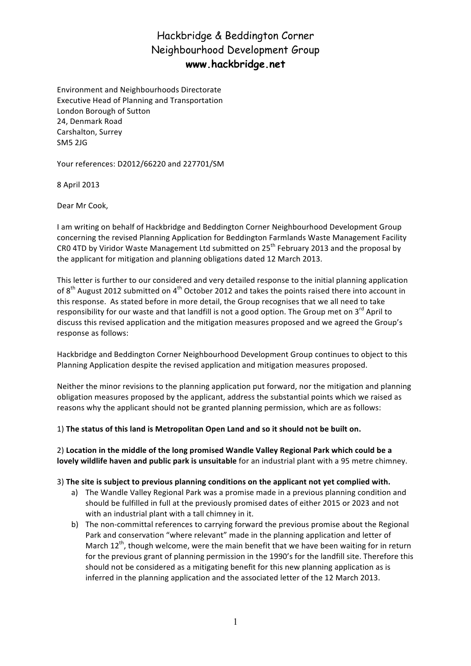# Hackbridge & Beddington Corner Neighbourhood Development Group **www.hackbridge.net**

Environment and Neighbourhoods Directorate Executive Head of Planning and Transportation London Borough of Sutton 24, Denmark Road Carshalton, Surrey SM5 2JG

Your references: D2012/66220 and 227701/SM

8 April 2013

Dear Mr Cook,

I am writing on behalf of Hackbridge and Beddington Corner Neighbourhood Development Group concerning the revised Planning Application for Beddington Farmlands Waste Management Facility CR0 4TD by Viridor Waste Management Ltd submitted on 25<sup>th</sup> February 2013 and the proposal by the applicant for mitigation and planning obligations dated 12 March 2013.

This letter is further to our considered and very detailed response to the initial planning application of 8<sup>th</sup> August 2012 submitted on 4<sup>th</sup> October 2012 and takes the points raised there into account in this response. As stated before in more detail, the Group recognises that we all need to take responsibility for our waste and that landfill is not a good option. The Group met on  $3^{rd}$  April to discuss this revised application and the mitigation measures proposed and we agreed the Group's response as follows:

Hackbridge and Beddington Corner Neighbourhood Development Group continues to object to this Planning Application despite the revised application and mitigation measures proposed.

Neither the minor revisions to the planning application put forward, nor the mitigation and planning obligation measures proposed by the applicant, address the substantial points which we raised as reasons why the applicant should not be granted planning permission, which are as follows:

#### 1) The status of this land is Metropolitan Open Land and so it should not be built on.

2) Location in the middle of the long promised Wandle Valley Regional Park which could be a **lovely wildlife haven and public park is unsuitable** for an industrial plant with a 95 metre chimney.

#### 3) The site is subject to previous planning conditions on the applicant not yet complied with.

- a) The Wandle Valley Regional Park was a promise made in a previous planning condition and should be fulfilled in full at the previously promised dates of either 2015 or 2023 and not with an industrial plant with a tall chimney in it.
- b) The non-committal references to carrying forward the previous promise about the Regional Park and conservation "where relevant" made in the planning application and letter of March  $12^{th}$ , though welcome, were the main benefit that we have been waiting for in return for the previous grant of planning permission in the 1990's for the landfill site. Therefore this should not be considered as a mitigating benefit for this new planning application as is inferred in the planning application and the associated letter of the 12 March 2013.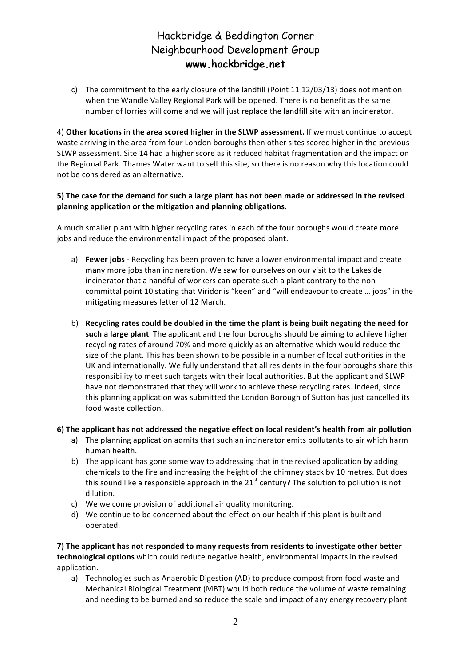# Hackbridge & Beddington Corner Neighbourhood Development Group **www.hackbridge.net**

c) The commitment to the early closure of the landfill (Point 11 12/03/13) does not mention when the Wandle Valley Regional Park will be opened. There is no benefit as the same number of lorries will come and we will just replace the landfill site with an incinerator.

4) Other locations in the area scored higher in the SLWP assessment. If we must continue to accept waste arriving in the area from four London boroughs then other sites scored higher in the previous SLWP assessment. Site 14 had a higher score as it reduced habitat fragmentation and the impact on the Regional Park. Thames Water want to sell this site, so there is no reason why this location could not be considered as an alternative.

### 5) The case for the demand for such a large plant has not been made or addressed in the revised planning application or the mitigation and planning obligations.

A much smaller plant with higher recycling rates in each of the four boroughs would create more jobs and reduce the environmental impact of the proposed plant.

- a) **Fewer jobs** Recycling has been proven to have a lower environmental impact and create many more jobs than incineration. We saw for ourselves on our visit to the Lakeside incinerator that a handful of workers can operate such a plant contrary to the noncommittal point 10 stating that Viridor is "keen" and "will endeavour to create ... jobs" in the mitigating measures letter of 12 March.
- b) Recycling rates could be doubled in the time the plant is being built negating the need for **such a large plant**. The applicant and the four boroughs should be aiming to achieve higher recycling rates of around 70% and more quickly as an alternative which would reduce the size of the plant. This has been shown to be possible in a number of local authorities in the UK and internationally. We fully understand that all residents in the four boroughs share this responsibility to meet such targets with their local authorities. But the applicant and SLWP have not demonstrated that they will work to achieve these recycling rates. Indeed, since this planning application was submitted the London Borough of Sutton has just cancelled its food waste collection.

### **6)** The applicant has not addressed the negative effect on local resident's health from air pollution

- a) The planning application admits that such an incinerator emits pollutants to air which harm human health.
- b) The applicant has gone some way to addressing that in the revised application by adding chemicals to the fire and increasing the height of the chimney stack by 10 metres. But does this sound like a responsible approach in the  $21^{st}$  century? The solution to pollution is not dilution.
- c) We welcome provision of additional air quality monitoring.
- d) We continue to be concerned about the effect on our health if this plant is built and operated.

**7)** The applicant has not responded to many requests from residents to investigate other better technological options which could reduce negative health, environmental impacts in the revised application. 

a) Technologies such as Anaerobic Digestion (AD) to produce compost from food waste and Mechanical Biological Treatment (MBT) would both reduce the volume of waste remaining and needing to be burned and so reduce the scale and impact of any energy recovery plant.